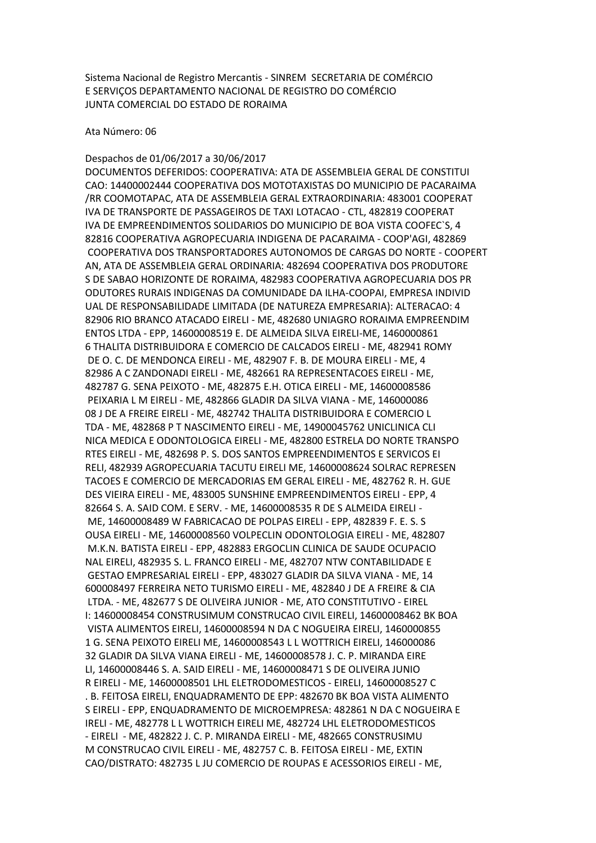Sistema Nacional de Registro Mercantis - SINREM SECRETARIA DE COMÉRCIO E SERVIÇOS DEPARTAMENTO NACIONAL DE REGISTRO DO COMÉRCIO JUNTA COMERCIAL DO ESTADO DE RORAIMA

Ata Número: 06

Despachos de 01/06/2017 a 30/06/2017 DOCUMENTOS DEFERIDOS: COOPERATIVA: ATA DE ASSEMBLEIA GERAL DE CONSTITUI CAO: 14400002444 COOPERATIVA DOS MOTOTAXISTAS DO MUNICIPIO DE PACARAIMA /RR COOMOTAPAC, ATA DE ASSEMBLEIA GERAL EXTRAORDINARIA: 483001 COOPERAT IVA DE TRANSPORTE DE PASSAGEIROS DE TAXI LOTACAO - CTL, 482819 COOPERAT IVA DE EMPREENDIMENTOS SOLIDARIOS DO MUNICIPIO DE BOA VISTA COOFEC`S, 4 82816 COOPERATIVA AGROPECUARIA INDIGENA DE PACARAIMA - COOP'AGI, 482869 COOPERATIVA DOS TRANSPORTADORES AUTONOMOS DE CARGAS DO NORTE - COOPERT AN, ATA DE ASSEMBLEIA GERAL ORDINARIA: 482694 COOPERATIVA DOS PRODUTORE S DE SABAO HORIZONTE DE RORAIMA, 482983 COOPERATIVA AGROPECUARIA DOS PR ODUTORES RURAIS INDIGENAS DA COMUNIDADE DA ILHA-COOPAI, EMPRESA INDIVID UAL DE RESPONSABILIDADE LIMITADA (DE NATUREZA EMPRESARIA): ALTERACAO: 4 82906 RIO BRANCO ATACADO EIRELI - ME, 482680 UNIAGRO RORAIMA EMPREENDIM ENTOS LTDA - EPP, 14600008519 E. DE ALMEIDA SILVA EIRELI-ME, 1460000861 6 THALITA DISTRIBUIDORA E COMERCIO DE CALCADOS EIRELI - ME, 482941 ROMY DE O. C. DE MENDONCA EIRELI - ME, 482907 F. B. DE MOURA EIRELI - ME, 4 82986 A C ZANDONADI EIRELI - ME, 482661 RA REPRESENTACOES EIRELI - ME, 482787 G. SENA PEIXOTO - ME, 482875 E.H. OTICA EIRELI - ME, 14600008586 PEIXARIA L M EIRELI - ME, 482866 GLADIR DA SILVA VIANA - ME, 146000086 08 J DE A FREIRE EIRELI - ME, 482742 THALITA DISTRIBUIDORA E COMERCIO L TDA - ME, 482868 P T NASCIMENTO EIRELI - ME, 14900045762 UNICLINICA CLI NICA MEDICA E ODONTOLOGICA EIRELI - ME, 482800 ESTRELA DO NORTE TRANSPO RTES EIRELI - ME, 482698 P. S. DOS SANTOS EMPREENDIMENTOS E SERVICOS EI RELI, 482939 AGROPECUARIA TACUTU EIRELI ME, 14600008624 SOLRAC REPRESEN TACOES E COMERCIO DE MERCADORIAS EM GERAL EIRELI - ME, 482762 R. H. GUE DES VIEIRA EIRELI - ME, 483005 SUNSHINE EMPREENDIMENTOS EIRELI - EPP, 4 82664 S. A. SAID COM. E SERV. - ME, 14600008535 R DE S ALMEIDA EIRELI - ME, 14600008489 W FABRICACAO DE POLPAS EIRELI - EPP, 482839 F. E. S. S OUSA EIRELI - ME, 14600008560 VOLPECLIN ODONTOLOGIA EIRELI - ME, 482807 M.K.N. BATISTA EIRELI - EPP, 482883 ERGOCLIN CLINICA DE SAUDE OCUPACIO NAL EIRELI, 482935 S. L. FRANCO EIRELI - ME, 482707 NTW CONTABILIDADE E GESTAO EMPRESARIAL EIRELI - EPP, 483027 GLADIR DA SILVA VIANA - ME, 14 600008497 FERREIRA NETO TURISMO EIRELI - ME, 482840 J DE A FREIRE & CIA LTDA. - ME, 482677 S DE OLIVEIRA JUNIOR - ME, ATO CONSTITUTIVO - EIREL I: 14600008454 CONSTRUSIMUM CONSTRUCAO CIVIL EIRELI, 14600008462 BK BOA VISTA ALIMENTOS EIRELI, 14600008594 N DA C NOGUEIRA EIRELI, 1460000855 1 G. SENA PEIXOTO EIRELI ME, 14600008543 L L WOTTRICH EIRELI, 146000086 32 GLADIR DA SILVA VIANA EIRELI - ME, 14600008578 J. C. P. MIRANDA EIRE LI, 14600008446 S. A. SAID EIRELI - ME, 14600008471 S DE OLIVEIRA JUNIO R EIRELI - ME, 14600008501 LHL ELETRODOMESTICOS - EIRELI, 14600008527 C . B. FEITOSA EIRELI, ENQUADRAMENTO DE EPP: 482670 BK BOA VISTA ALIMENTO S EIRELI - EPP, ENQUADRAMENTO DE MICROEMPRESA: 482861 N DA C NOGUEIRA E IRELI - ME, 482778 L L WOTTRICH EIRELI ME, 482724 LHL ELETRODOMESTICOS - EIRELI - ME, 482822 J. C. P. MIRANDA EIRELI - ME, 482665 CONSTRUSIMU M CONSTRUCAO CIVIL EIRELI - ME, 482757 C. B. FEITOSA EIRELI - ME, EXTIN CAO/DISTRATO: 482735 L JU COMERCIO DE ROUPAS E ACESSORIOS EIRELI - ME,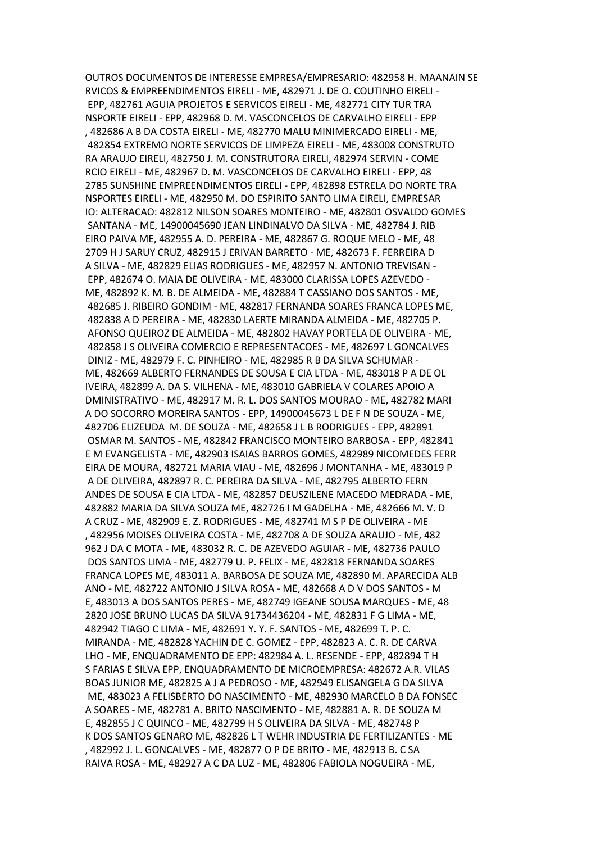OUTROS DOCUMENTOS DE INTERESSE EMPRESA/EMPRESARIO: 482958 H. MAANAIN SE RVICOS & EMPREENDIMENTOS EIRELI - ME, 482971 J. DE O. COUTINHO EIRELI - EPP, 482761 AGUIA PROJETOS E SERVICOS EIRELI - ME, 482771 CITY TUR TRA NSPORTE EIRELI - EPP, 482968 D. M. VASCONCELOS DE CARVALHO EIRELI - EPP , 482686 A B DA COSTA EIRELI - ME, 482770 MALU MINIMERCADO EIRELI - ME, 482854 EXTREMO NORTE SERVICOS DE LIMPEZA EIRELI - ME, 483008 CONSTRUTO RA ARAUJO EIRELI, 482750 J. M. CONSTRUTORA EIRELI, 482974 SERVIN - COME RCIO EIRELI - ME, 482967 D. M. VASCONCELOS DE CARVALHO EIRELI - EPP, 48 2785 SUNSHINE EMPREENDIMENTOS EIRELI - EPP, 482898 ESTRELA DO NORTE TRA NSPORTES EIRELI - ME, 482950 M. DO ESPIRITO SANTO LIMA EIRELI, EMPRESAR IO: ALTERACAO: 482812 NILSON SOARES MONTEIRO - ME, 482801 OSVALDO GOMES SANTANA - ME, 14900045690 JEAN LINDINALVO DA SILVA - ME, 482784 J. RIB EIRO PAIVA ME, 482955 A. D. PEREIRA - ME, 482867 G. ROQUE MELO - ME, 48 2709 H J SARUY CRUZ, 482915 J ERIVAN BARRETO - ME, 482673 F. FERREIRA D A SILVA - ME, 482829 ELIAS RODRIGUES - ME, 482957 N. ANTONIO TREVISAN - EPP, 482674 O. MAIA DE OLIVEIRA - ME, 483000 CLARISSA LOPES AZEVEDO - ME, 482892 K. M. B. DE ALMEIDA - ME, 482884 T CASSIANO DOS SANTOS - ME, 482685 J. RIBEIRO GONDIM - ME, 482817 FERNANDA SOARES FRANCA LOPES ME, 482838 A D PEREIRA - ME, 482830 LAERTE MIRANDA ALMEIDA - ME, 482705 P. AFONSO QUEIROZ DE ALMEIDA - ME, 482802 HAVAY PORTELA DE OLIVEIRA - ME, 482858 J S OLIVEIRA COMERCIO E REPRESENTACOES - ME, 482697 L GONCALVES DINIZ - ME, 482979 F. C. PINHEIRO - ME, 482985 R B DA SILVA SCHUMAR - ME, 482669 ALBERTO FERNANDES DE SOUSA E CIA LTDA - ME, 483018 P A DE OL IVEIRA, 482899 A. DA S. VILHENA - ME, 483010 GABRIELA V COLARES APOIO A DMINISTRATIVO - ME, 482917 M. R. L. DOS SANTOS MOURAO - ME, 482782 MARI A DO SOCORRO MOREIRA SANTOS - EPP, 14900045673 L DE F N DE SOUZA - ME, 482706 ELIZEUDA M. DE SOUZA - ME, 482658 J L B RODRIGUES - EPP, 482891 OSMAR M. SANTOS - ME, 482842 FRANCISCO MONTEIRO BARBOSA - EPP, 482841 E M EVANGELISTA - ME, 482903 ISAIAS BARROS GOMES, 482989 NICOMEDES FERR EIRA DE MOURA, 482721 MARIA VIAU - ME, 482696 J MONTANHA - ME, 483019 P A DE OLIVEIRA, 482897 R. C. PEREIRA DA SILVA - ME, 482795 ALBERTO FERN ANDES DE SOUSA E CIA LTDA - ME, 482857 DEUSZILENE MACEDO MEDRADA - ME, 482882 MARIA DA SILVA SOUZA ME, 482726 I M GADELHA - ME, 482666 M. V. D A CRUZ - ME, 482909 E. Z. RODRIGUES - ME, 482741 M S P DE OLIVEIRA - ME , 482956 MOISES OLIVEIRA COSTA - ME, 482708 A DE SOUZA ARAUJO - ME, 482 962 J DA C MOTA - ME, 483032 R. C. DE AZEVEDO AGUIAR - ME, 482736 PAULO DOS SANTOS LIMA - ME, 482779 U. P. FELIX - ME, 482818 FERNANDA SOARES FRANCA LOPES ME, 483011 A. BARBOSA DE SOUZA ME, 482890 M. APARECIDA ALB ANO - ME, 482722 ANTONIO J SILVA ROSA - ME, 482668 A D V DOS SANTOS - M E, 483013 A DOS SANTOS PERES - ME, 482749 IGEANE SOUSA MARQUES - ME, 48 2820 JOSE BRUNO LUCAS DA SILVA 91734436204 - ME, 482831 F G LIMA - ME, 482942 TIAGO C LIMA - ME, 482691 Y. Y. F. SANTOS - ME, 482699 T. P. C. MIRANDA - ME, 482828 YACHIN DE C. GOMEZ - EPP, 482823 A. C. R. DE CARVA LHO - ME, ENQUADRAMENTO DE EPP: 482984 A. L. RESENDE - EPP, 482894 T H S FARIAS E SILVA EPP, ENQUADRAMENTO DE MICROEMPRESA: 482672 A.R. VILAS BOAS JUNIOR ME, 482825 A J A PEDROSO - ME, 482949 ELISANGELA G DA SILVA ME, 483023 A FELISBERTO DO NASCIMENTO - ME, 482930 MARCELO B DA FONSEC A SOARES - ME, 482781 A. BRITO NASCIMENTO - ME, 482881 A. R. DE SOUZA M E, 482855 J C QUINCO - ME, 482799 H S OLIVEIRA DA SILVA - ME, 482748 P K DOS SANTOS GENARO ME, 482826 L T WEHR INDUSTRIA DE FERTILIZANTES - ME , 482992 J. L. GONCALVES - ME, 482877 O P DE BRITO - ME, 482913 B. C SA RAIVA ROSA - ME, 482927 A C DA LUZ - ME, 482806 FABIOLA NOGUEIRA - ME,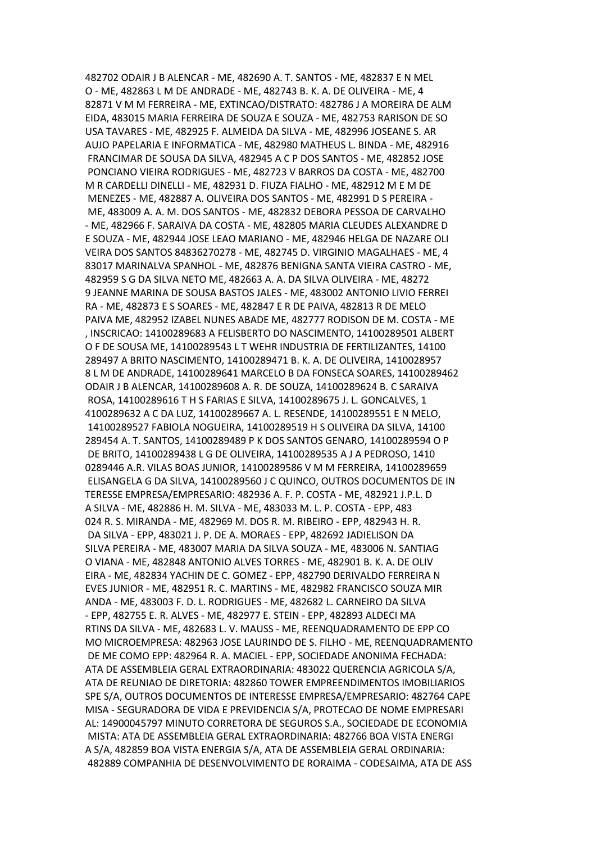482702 ODAIR J B ALENCAR - ME, 482690 A. T. SANTOS - ME, 482837 E N MEL O - ME, 482863 L M DE ANDRADE - ME, 482743 B. K. A. DE OLIVEIRA - ME, 4 82871 V M M FERREIRA - ME, EXTINCAO/DISTRATO: 482786 J A MOREIRA DE ALM EIDA, 483015 MARIA FERREIRA DE SOUZA E SOUZA - ME, 482753 RARISON DE SO USA TAVARES - ME, 482925 F. ALMEIDA DA SILVA - ME, 482996 JOSEANE S. AR AUJO PAPELARIA E INFORMATICA - ME, 482980 MATHEUS L. BINDA - ME, 482916 FRANCIMAR DE SOUSA DA SILVA, 482945 A C P DOS SANTOS - ME, 482852 JOSE PONCIANO VIEIRA RODRIGUES - ME, 482723 V BARROS DA COSTA - ME, 482700 M R CARDELLI DINELLI - ME, 482931 D. FIUZA FIALHO - ME, 482912 M E M DE MENEZES - ME, 482887 A. OLIVEIRA DOS SANTOS - ME, 482991 D S PEREIRA - ME, 483009 A. A. M. DOS SANTOS - ME, 482832 DEBORA PESSOA DE CARVALHO - ME, 482966 F. SARAIVA DA COSTA - ME, 482805 MARIA CLEUDES ALEXANDRE D E SOUZA - ME, 482944 JOSE LEAO MARIANO - ME, 482946 HELGA DE NAZARE OLI VEIRA DOS SANTOS 84836270278 - ME, 482745 D. VIRGINIO MAGALHAES - ME, 4 83017 MARINALVA SPANHOL - ME, 482876 BENIGNA SANTA VIEIRA CASTRO - ME, 482959 S G DA SILVA NETO ME, 482663 A. A. DA SILVA OLIVEIRA - ME, 48272 9 JEANNE MARINA DE SOUSA BASTOS JALES - ME, 483002 ANTONIO LIVIO FERREI RA - ME, 482873 E S SOARES - ME, 482847 E R DE PAIVA, 482813 R DE MELO PAIVA ME, 482952 IZABEL NUNES ABADE ME, 482777 RODISON DE M. COSTA - ME , INSCRICAO: 14100289683 A FELISBERTO DO NASCIMENTO, 14100289501 ALBERT O F DE SOUSA ME, 14100289543 L T WEHR INDUSTRIA DE FERTILIZANTES, 14100 289497 A BRITO NASCIMENTO, 14100289471 B. K. A. DE OLIVEIRA, 1410028957 8 L M DE ANDRADE, 14100289641 MARCELO B DA FONSECA SOARES, 14100289462 ODAIR J B ALENCAR, 14100289608 A. R. DE SOUZA, 14100289624 B. C SARAIVA ROSA, 14100289616 T H S FARIAS E SILVA, 14100289675 J. L. GONCALVES, 1 4100289632 A C DA LUZ, 14100289667 A. L. RESENDE, 14100289551 E N MELO, 14100289527 FABIOLA NOGUEIRA, 14100289519 H S OLIVEIRA DA SILVA, 14100 289454 A. T. SANTOS, 14100289489 P K DOS SANTOS GENARO, 14100289594 O P DE BRITO, 14100289438 L G DE OLIVEIRA, 14100289535 A J A PEDROSO, 1410 0289446 A.R. VILAS BOAS JUNIOR, 14100289586 V M M FERREIRA, 14100289659 ELISANGELA G DA SILVA, 14100289560 J C QUINCO, OUTROS DOCUMENTOS DE IN TERESSE EMPRESA/EMPRESARIO: 482936 A. F. P. COSTA - ME, 482921 J.P.L. D A SILVA - ME, 482886 H. M. SILVA - ME, 483033 M. L. P. COSTA - EPP, 483 024 R. S. MIRANDA - ME, 482969 M. DOS R. M. RIBEIRO - EPP, 482943 H. R. DA SILVA - EPP, 483021 J. P. DE A. MORAES - EPP, 482692 JADIELISON DA SILVA PEREIRA - ME, 483007 MARIA DA SILVA SOUZA - ME, 483006 N. SANTIAG O VIANA - ME, 482848 ANTONIO ALVES TORRES - ME, 482901 B. K. A. DE OLIV EIRA - ME, 482834 YACHIN DE C. GOMEZ - EPP, 482790 DERIVALDO FERREIRA N EVES JUNIOR - ME, 482951 R. C. MARTINS - ME, 482982 FRANCISCO SOUZA MIR ANDA - ME, 483003 F. D. L. RODRIGUES - ME, 482682 L. CARNEIRO DA SILVA - EPP, 482755 E. R. ALVES - ME, 482977 E. STEIN - EPP, 482893 ALDECI MA RTINS DA SILVA - ME, 482683 L. V. MAUSS - ME, REENQUADRAMENTO DE EPP CO MO MICROEMPRESA: 482963 JOSE LAURINDO DE S. FILHO - ME, REENQUADRAMENTO DE ME COMO EPP: 482964 R. A. MACIEL - EPP, SOCIEDADE ANONIMA FECHADA: ATA DE ASSEMBLEIA GERAL EXTRAORDINARIA: 483022 QUERENCIA AGRICOLA S/A, ATA DE REUNIAO DE DIRETORIA: 482860 TOWER EMPREENDIMENTOS IMOBILIARIOS SPE S/A, OUTROS DOCUMENTOS DE INTERESSE EMPRESA/EMPRESARIO: 482764 CAPE MISA - SEGURADORA DE VIDA E PREVIDENCIA S/A, PROTECAO DE NOME EMPRESARI AL: 14900045797 MINUTO CORRETORA DE SEGUROS S.A., SOCIEDADE DE ECONOMIA MISTA: ATA DE ASSEMBLEIA GERAL EXTRAORDINARIA: 482766 BOA VISTA ENERGI A S/A, 482859 BOA VISTA ENERGIA S/A, ATA DE ASSEMBLEIA GERAL ORDINARIA: 482889 COMPANHIA DE DESENVOLVIMENTO DE RORAIMA - CODESAIMA, ATA DE ASS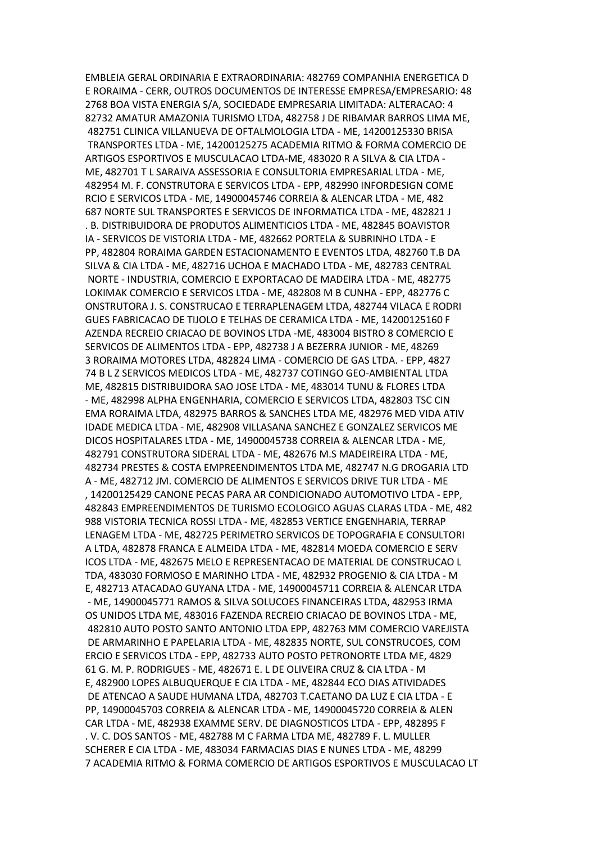EMBLEIA GERAL ORDINARIA E EXTRAORDINARIA: 482769 COMPANHIA ENERGETICA D E RORAIMA - CERR, OUTROS DOCUMENTOS DE INTERESSE EMPRESA/EMPRESARIO: 48 2768 BOA VISTA ENERGIA S/A, SOCIEDADE EMPRESARIA LIMITADA: ALTERACAO: 4 82732 AMATUR AMAZONIA TURISMO LTDA, 482758 J DE RIBAMAR BARROS LIMA ME, 482751 CLINICA VILLANUEVA DE OFTALMOLOGIA LTDA - ME, 14200125330 BRISA TRANSPORTES LTDA - ME, 14200125275 ACADEMIA RITMO & FORMA COMERCIO DE ARTIGOS ESPORTIVOS E MUSCULACAO LTDA-ME, 483020 R A SILVA & CIA LTDA - ME, 482701 T L SARAIVA ASSESSORIA E CONSULTORIA EMPRESARIAL LTDA - ME, 482954 M. F. CONSTRUTORA E SERVICOS LTDA - EPP, 482990 INFORDESIGN COME RCIO E SERVICOS LTDA - ME, 14900045746 CORREIA & ALENCAR LTDA - ME, 482 687 NORTE SUL TRANSPORTES E SERVICOS DE INFORMATICA LTDA - ME, 482821 J . B. DISTRIBUIDORA DE PRODUTOS ALIMENTICIOS LTDA - ME, 482845 BOAVISTOR IA - SERVICOS DE VISTORIA LTDA - ME, 482662 PORTELA & SUBRINHO LTDA - E PP, 482804 RORAIMA GARDEN ESTACIONAMENTO E EVENTOS LTDA, 482760 T.B DA SILVA & CIA LTDA - ME, 482716 UCHOA E MACHADO LTDA - ME, 482783 CENTRAL NORTE - INDUSTRIA, COMERCIO E EXPORTACAO DE MADEIRA LTDA - ME, 482775 LOKIMAK COMERCIO E SERVICOS LTDA - ME, 482808 M B CUNHA - EPP, 482776 C ONSTRUTORA J. S. CONSTRUCAO E TERRAPLENAGEM LTDA, 482744 VILACA E RODRI GUES FABRICACAO DE TIJOLO E TELHAS DE CERAMICA LTDA - ME, 14200125160 F AZENDA RECREIO CRIACAO DE BOVINOS LTDA -ME, 483004 BISTRO 8 COMERCIO E SERVICOS DE ALIMENTOS LTDA - EPP, 482738 J A BEZERRA JUNIOR - ME, 48269 3 RORAIMA MOTORES LTDA, 482824 LIMA - COMERCIO DE GAS LTDA. - EPP, 4827 74 B L Z SERVICOS MEDICOS LTDA - ME, 482737 COTINGO GEO-AMBIENTAL LTDA ME, 482815 DISTRIBUIDORA SAO JOSE LTDA - ME, 483014 TUNU & FLORES LTDA - ME, 482998 ALPHA ENGENHARIA, COMERCIO E SERVICOS LTDA, 482803 TSC CIN EMA RORAIMA LTDA, 482975 BARROS & SANCHES LTDA ME, 482976 MED VIDA ATIV IDADE MEDICA LTDA - ME, 482908 VILLASANA SANCHEZ E GONZALEZ SERVICOS ME DICOS HOSPITALARES LTDA - ME, 14900045738 CORREIA & ALENCAR LTDA - ME, 482791 CONSTRUTORA SIDERAL LTDA - ME, 482676 M.S MADEIREIRA LTDA - ME, 482734 PRESTES & COSTA EMPREENDIMENTOS LTDA ME, 482747 N.G DROGARIA LTD A - ME, 482712 JM. COMERCIO DE ALIMENTOS E SERVICOS DRIVE TUR LTDA - ME , 14200125429 CANONE PECAS PARA AR CONDICIONADO AUTOMOTIVO LTDA - EPP, 482843 EMPREENDIMENTOS DE TURISMO ECOLOGICO AGUAS CLARAS LTDA - ME, 482 988 VISTORIA TECNICA ROSSI LTDA - ME, 482853 VERTICE ENGENHARIA, TERRAP LENAGEM LTDA - ME, 482725 PERIMETRO SERVICOS DE TOPOGRAFIA E CONSULTORI A LTDA, 482878 FRANCA E ALMEIDA LTDA - ME, 482814 MOEDA COMERCIO E SERV ICOS LTDA - ME, 482675 MELO E REPRESENTACAO DE MATERIAL DE CONSTRUCAO L TDA, 483030 FORMOSO E MARINHO LTDA - ME, 482932 PROGENIO & CIA LTDA - M E, 482713 ATACADAO GUYANA LTDA - ME, 14900045711 CORREIA & ALENCAR LTDA - ME, 14900045771 RAMOS & SILVA SOLUCOES FINANCEIRAS LTDA, 482953 IRMA OS UNIDOS LTDA ME, 483016 FAZENDA RECREIO CRIACAO DE BOVINOS LTDA - ME, 482810 AUTO POSTO SANTO ANTONIO LTDA EPP, 482763 MM COMERCIO VAREJISTA DE ARMARINHO E PAPELARIA LTDA - ME, 482835 NORTE, SUL CONSTRUCOES, COM ERCIO E SERVICOS LTDA - EPP, 482733 AUTO POSTO PETRONORTE LTDA ME, 4829 61 G. M. P. RODRIGUES - ME, 482671 E. L DE OLIVEIRA CRUZ & CIA LTDA - M E, 482900 LOPES ALBUQUERQUE E CIA LTDA - ME, 482844 ECO DIAS ATIVIDADES DE ATENCAO A SAUDE HUMANA LTDA, 482703 T.CAETANO DA LUZ E CIA LTDA - E PP, 14900045703 CORREIA & ALENCAR LTDA - ME, 14900045720 CORREIA & ALEN CAR LTDA - ME, 482938 EXAMME SERV. DE DIAGNOSTICOS LTDA - EPP, 482895 F . V. C. DOS SANTOS - ME, 482788 M C FARMA LTDA ME, 482789 F. L. MULLER SCHERER E CIA LTDA - ME, 483034 FARMACIAS DIAS E NUNES LTDA - ME, 48299 7 ACADEMIA RITMO & FORMA COMERCIO DE ARTIGOS ESPORTIVOS E MUSCULACAO LT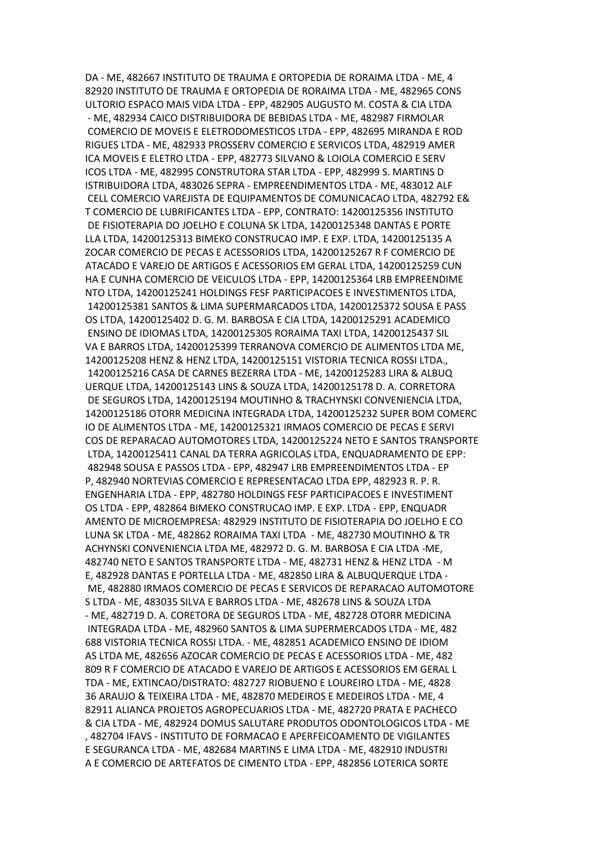DA - ME, 482667 INSTITUTO DE TRAUMA E ORTOPEDIA DE RORAIMA LTDA - ME, 4 82920 INSTITUTO DE TRAUMA E ORTOPEDIA DE RORAIMA LTDA - ME, 482965 CONS ULTORIO ESPACO MAIS VIDA LTDA - EPP, 482905 AUGUSTO M. COSTA & CIA LTDA - ME, 482934 CAICO DISTRIBUIDORA DE BEBIDAS LTDA - ME, 482987 FIRMOLAR COMERCIO DE MOVEIS E ELETRODOMESTICOS LTDA - EPP, 482695 MIRANDA E ROD RIGUES LTDA - ME, 482933 PROSSERV COMERCIO E SERVICOS LTDA, 482919 AMER ICA MOVEIS E ELETRO LTDA - EPP, 482773 SILVANO & LOIOLA COMERCIO E SERV ICOS LTDA - ME, 482995 CONSTRUTORA STAR LTDA - EPP, 482999 S. MARTINS D ISTRIBUIDORA LTDA, 483026 SEPRA - EMPREENDIMENTOS LTDA - ME, 483012 ALF CELL COMERCIO VAREJISTA DE EQUIPAMENTOS DE COMUNICACAO LTDA, 482792 E& T COMERCIO DE LUBRIFICANTES LTDA - EPP, CONTRATO: 14200125356 INSTITUTO DE FISIOTERAPIA DO JOELHO E COLUNA SK LTDA, 14200125348 DANTAS E PORTE LLA LTDA, 14200125313 BIMEKO CONSTRUCAO IMP. E EXP. LTDA, 14200125135 A ZOCAR COMERCIO DE PECAS E ACESSORIOS LTDA, 14200125267 R F COMERCIO DE ATACADO E VAREJO DE ARTIGOS E ACESSORIOS EM GERAL LTDA, 14200125259 CUN HA E CUNHA COMERCIO DE VEICULOS LTDA - EPP, 14200125364 LRB EMPREENDIME NTO LTDA, 14200125241 HOLDINGS FESF PARTICIPACOES E INVESTIMENTOS LTDA, 14200125381 SANTOS & LIMA SUPERMARCADOS LTDA, 14200125372 SOUSA E PASS OS LTDA, 14200125402 D. G. M. BARBOSA E CIA LTDA, 14200125291 ACADEMICO ENSINO DE IDIOMAS LTDA, 14200125305 RORAIMA TAXI LTDA, 14200125437 SIL VA E BARROS LTDA, 14200125399 TERRANOVA COMERCIO DE ALIMENTOS LTDA ME, 14200125208 HENZ & HENZ LTDA, 14200125151 VISTORIA TECNICA ROSSI LTDA., 14200125216 CASA DE CARNES BEZERRA LTDA - ME, 14200125283 LIRA & ALBUQ UERQUE LTDA, 14200125143 LINS & SOUZA LTDA, 14200125178 D. A. CORRETORA DE SEGUROS LTDA, 14200125194 MOUTINHO & TRACHYNSKI CONVENIENCIA LTDA, 14200125186 OTORR MEDICINA INTEGRADA LTDA, 14200125232 SUPER BOM COMERC IO DE ALIMENTOS LTDA - ME, 14200125321 IRMAOS COMERCIO DE PECAS E SERVI COS DE REPARACAO AUTOMOTORES LTDA, 14200125224 NETO E SANTOS TRANSPORTE LTDA, 14200125411 CANAL DA TERRA AGRICOLAS LTDA, ENQUADRAMENTO DE EPP: 482948 SOUSA E PASSOS LTDA - EPP, 482947 LRB EMPREENDIMENTOS LTDA - EP P, 482940 NORTEVIAS COMERCIO E REPRESENTACAO LTDA EPP, 482923 R. P. R. ENGENHARIA LTDA - EPP, 482780 HOLDINGS FESF PARTICIPACOES E INVESTIMENT OS LTDA - EPP, 482864 BIMEKO CONSTRUCAO IMP. E EXP. LTDA - EPP, ENQUADR AMENTO DE MICROEMPRESA: 482929 INSTITUTO DE FISIOTERAPIA DO JOELHO E CO LUNA SK LTDA - ME, 482862 RORAIMA TAXI LTDA - ME, 482730 MOUTINHO & TR ACHYNSKI CONVENIENCIA LTDA ME, 482972 D. G. M. BARBOSA E CIA LTDA -ME, 482740 NETO E SANTOS TRANSPORTE LTDA - ME, 482731 HENZ & HENZ LTDA - M E, 482928 DANTAS E PORTELLA LTDA - ME, 482850 LIRA & ALBUQUERQUE LTDA - ME, 482880 IRMAOS COMERCIO DE PECAS E SERVICOS DE REPARACAO AUTOMOTORE S LTDA - ME, 483035 SILVA E BARROS LTDA - ME, 482678 LINS & SOUZA LTDA - ME, 482719 D. A. CORETORA DE SEGUROS LTDA - ME, 482728 OTORR MEDICINA INTEGRADA LTDA - ME, 482960 SANTOS & LIMA SUPERMERCADOS LTDA - ME, 482 688 VISTORIA TECNICA ROSSI LTDA. - ME, 482851 ACADEMICO ENSINO DE IDIOM AS LTDA ME, 482656 AZOCAR COMERCIO DE PECAS E ACESSORIOS LTDA - ME, 482 809 R F COMERCIO DE ATACADO E VAREJO DE ARTIGOS E ACESSORIOS EM GERAL L TDA - ME, EXTINCAO/DISTRATO: 482727 RIOBUENO E LOUREIRO LTDA - ME, 4828 36 ARAUJO & TEIXEIRA LTDA - ME, 482870 MEDEIROS E MEDEIROS LTDA - ME, 4 82911 ALIANCA PROJETOS AGROPECUARIOS LTDA - ME, 482720 PRATA E PACHECO & CIA LTDA - ME, 482924 DOMUS SALUTARE PRODUTOS ODONTOLOGICOS LTDA - ME , 482704 IFAVS - INSTITUTO DE FORMACAO E APERFEICOAMENTO DE VIGILANTES E SEGURANCA LTDA - ME, 482684 MARTINS E LIMA LTDA - ME, 482910 INDUSTRI A E COMERCIO DE ARTEFATOS DE CIMENTO LTDA - EPP, 482856 LOTERICA SORTE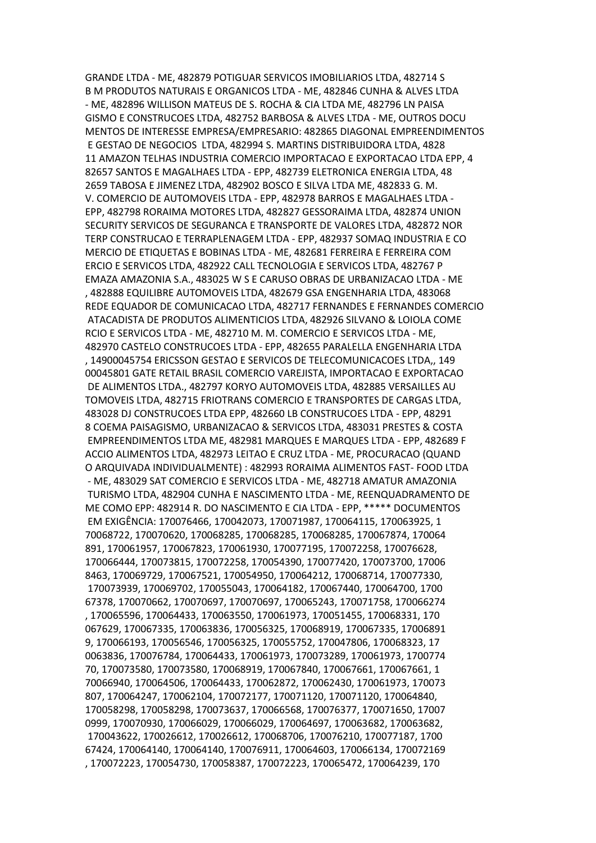GRANDE LTDA - ME, 482879 POTIGUAR SERVICOS IMOBILIARIOS LTDA, 482714 S B M PRODUTOS NATURAIS E ORGANICOS LTDA - ME, 482846 CUNHA & ALVES LTDA - ME, 482896 WILLISON MATEUS DE S. ROCHA & CIA LTDA ME, 482796 LN PAISA GISMO E CONSTRUCOES LTDA, 482752 BARBOSA & ALVES LTDA - ME, OUTROS DOCU MENTOS DE INTERESSE EMPRESA/EMPRESARIO: 482865 DIAGONAL EMPREENDIMENTOS E GESTAO DE NEGOCIOS LTDA, 482994 S. MARTINS DISTRIBUIDORA LTDA, 4828 11 AMAZON TELHAS INDUSTRIA COMERCIO IMPORTACAO E EXPORTACAO LTDA EPP, 4 82657 SANTOS E MAGALHAES LTDA - EPP, 482739 ELETRONICA ENERGIA LTDA, 48 2659 TABOSA E JIMENEZ LTDA, 482902 BOSCO E SILVA LTDA ME, 482833 G. M. V. COMERCIO DE AUTOMOVEIS LTDA - EPP, 482978 BARROS E MAGALHAES LTDA - EPP, 482798 RORAIMA MOTORES LTDA, 482827 GESSORAIMA LTDA, 482874 UNION SECURITY SERVICOS DE SEGURANCA E TRANSPORTE DE VALORES LTDA, 482872 NOR TERP CONSTRUCAO E TERRAPLENAGEM LTDA - EPP, 482937 SOMAQ INDUSTRIA E CO MERCIO DE ETIQUETAS E BOBINAS LTDA - ME, 482681 FERREIRA E FERREIRA COM ERCIO E SERVICOS LTDA, 482922 CALL TECNOLOGIA E SERVICOS LTDA, 482767 P EMAZA AMAZONIA S.A., 483025 W S E CARUSO OBRAS DE URBANIZACAO LTDA - ME , 482888 EQUILIBRE AUTOMOVEIS LTDA, 482679 GSA ENGENHARIA LTDA, 483068 REDE EQUADOR DE COMUNICACAO LTDA, 482717 FERNANDES E FERNANDES COMERCIO ATACADISTA DE PRODUTOS ALIMENTICIOS LTDA, 482926 SILVANO & LOIOLA COME RCIO E SERVICOS LTDA - ME, 482710 M. M. COMERCIO E SERVICOS LTDA - ME, 482970 CASTELO CONSTRUCOES LTDA - EPP, 482655 PARALELLA ENGENHARIA LTDA , 14900045754 ERICSSON GESTAO E SERVICOS DE TELECOMUNICACOES LTDA,, 149 00045801 GATE RETAIL BRASIL COMERCIO VAREJISTA, IMPORTACAO E EXPORTACAO DE ALIMENTOS LTDA., 482797 KORYO AUTOMOVEIS LTDA, 482885 VERSAILLES AU TOMOVEIS LTDA, 482715 FRIOTRANS COMERCIO E TRANSPORTES DE CARGAS LTDA, 483028 DJ CONSTRUCOES LTDA EPP, 482660 LB CONSTRUCOES LTDA - EPP, 48291 8 COEMA PAISAGISMO, URBANIZACAO & SERVICOS LTDA, 483031 PRESTES & COSTA EMPREENDIMENTOS LTDA ME, 482981 MARQUES E MARQUES LTDA - EPP, 482689 F ACCIO ALIMENTOS LTDA, 482973 LEITAO E CRUZ LTDA - ME, PROCURACAO (QUAND O ARQUIVADA INDIVIDUALMENTE) : 482993 RORAIMA ALIMENTOS FAST- FOOD LTDA - ME, 483029 SAT COMERCIO E SERVICOS LTDA - ME, 482718 AMATUR AMAZONIA TURISMO LTDA, 482904 CUNHA E NASCIMENTO LTDA - ME, REENQUADRAMENTO DE ME COMO EPP: 482914 R. DO NASCIMENTO E CIA LTDA - EPP, \*\*\*\*\* DOCUMENTOS EM EXIGÊNCIA: 170076466, 170042073, 170071987, 170064115, 170063925, 1 70068722, 170070620, 170068285, 170068285, 170068285, 170067874, 170064 891, 170061957, 170067823, 170061930, 170077195, 170072258, 170076628, 170066444, 170073815, 170072258, 170054390, 170077420, 170073700, 17006 8463, 170069729, 170067521, 170054950, 170064212, 170068714, 170077330, 170073939, 170069702, 170055043, 170064182, 170067440, 170064700, 1700 67378, 170070662, 170070697, 170070697, 170065243, 170071758, 170066274 , 170065596, 170064433, 170063550, 170061973, 170051455, 170068331, 170 067629, 170067335, 170063836, 170056325, 170068919, 170067335, 17006891 9, 170066193, 170056546, 170056325, 170055752, 170047806, 170068323, 17 0063836, 170076784, 170064433, 170061973, 170073289, 170061973, 1700774 70, 170073580, 170073580, 170068919, 170067840, 170067661, 170067661, 1 70066940, 170064506, 170064433, 170062872, 170062430, 170061973, 170073 807, 170064247, 170062104, 170072177, 170071120, 170071120, 170064840, 170058298, 170058298, 170073637, 170066568, 170076377, 170071650, 17007 0999, 170070930, 170066029, 170066029, 170064697, 170063682, 170063682, 170043622, 170026612, 170026612, 170068706, 170076210, 170077187, 1700 67424, 170064140, 170064140, 170076911, 170064603, 170066134, 170072169 , 170072223, 170054730, 170058387, 170072223, 170065472, 170064239, 170